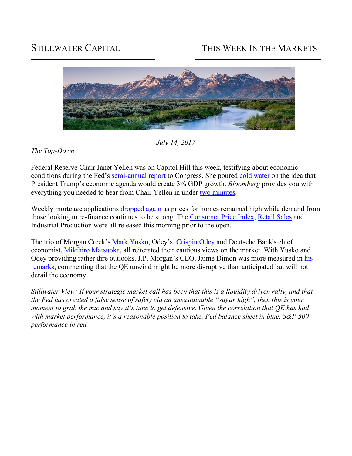# STILLWATER CAPITAL THIS WEEK IN THE MARKETS



*July 14, 2017*

## *The Top-Down*

Federal Reserve Chair Janet Yellen was on Capitol Hill this week, testifying about economic conditions during the Fed's semi-annual report to Congress. She poured cold water on the idea that President Trump's economic agenda would create 3% GDP growth. *Bloomberg* provides you with everything you needed to hear from Chair Yellen in under two minutes.

Weekly mortgage applications dropped again as prices for homes remained high while demand from those looking to re-finance continues to be strong. The Consumer Price Index, Retail Sales and Industrial Production were all released this morning prior to the open.

The trio of Morgan Creek's Mark Yusko, Odey's Crispin Odey and Deutsche Bank's chief economist, Mikihiro Matsuoka, all reiterated their cautious views on the market. With Yusko and Odey providing rather dire outlooks. J.P. Morgan's CEO, Jaime Dimon was more measured in his remarks, commenting that the QE unwind might be more disruptive than anticipated but will not derail the economy.

*Stillwater View: If your strategic market call has been that this is a liquidity driven rally, and that the Fed has created a false sense of safety via an unsustainable "sugar high", then this is your moment to grab the mic and say it's time to get defensive. Given the correlation that QE has had with market performance, it's a reasonable position to take. Fed balance sheet in blue, S&P 500 performance in red.*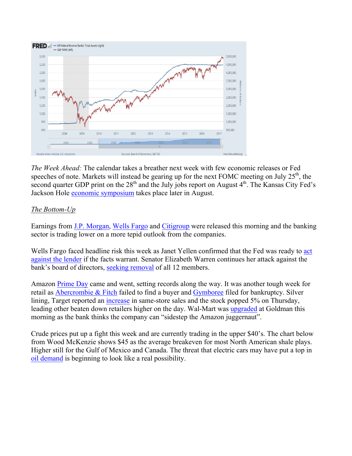

*The Week Ahead:* The calendar takes a breather next week with few economic releases or Fed speeches of note. Markets will instead be gearing up for the next FOMC meeting on July  $25<sup>th</sup>$ , the second quarter GDP print on the  $28<sup>th</sup>$  and the July jobs report on August  $4<sup>th</sup>$ . The Kansas City Fed's Jackson Hole economic symposium takes place later in August.

## *The Bottom-Up*

Earnings from J.P. Morgan, Wells Fargo and Citigroup were released this morning and the banking sector is trading lower on a more tepid outlook from the companies.

Wells Fargo faced headline risk this week as Janet Yellen confirmed that the Fed was ready to act against the lender if the facts warrant. Senator Elizabeth Warren continues her attack against the bank's board of directors, seeking removal of all 12 members.

Amazon Prime Day came and went, setting records along the way. It was another tough week for retail as Abercrombie & Fitch failed to find a buyer and Gymboree filed for bankruptcy. Silver lining, Target reported an increase in same-store sales and the stock popped 5% on Thursday, leading other beaten down retailers higher on the day. Wal-Mart was upgraded at Goldman this morning as the bank thinks the company can "sidestep the Amazon juggernaut".

Crude prices put up a fight this week and are currently trading in the upper \$40's. The chart below from Wood McKenzie shows \$45 as the average breakeven for most North American shale plays. Higher still for the Gulf of Mexico and Canada. The threat that electric cars may have put a top in oil demand is beginning to look like a real possibility.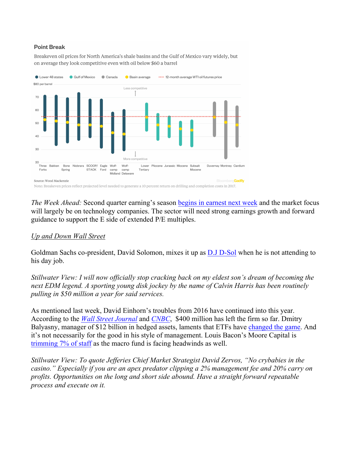#### **Point Break**

Breakeven oil prices for North America's shale basins and the Gulf of Mexico vary widely, but on average they look competitive even with oil below \$60 a barrel



*The Week Ahead:* Second quarter earning's season begins in earnest next week and the market focus will largely be on technology companies. The sector will need strong earnings growth and forward guidance to support the E side of extended P/E multiples.

#### *Up and Down Wall Street*

Goldman Sachs co-president, David Solomon, mixes it up as D.J D-Sol when he is not attending to his day job.

*Stillwater View: I will now officially stop cracking back on my eldest son's dream of becoming the next EDM legend. A sporting young disk jockey by the name of Calvin Harris has been routinely pulling in \$50 million a year for said services.* 

As mentioned last week, David Einhorn's troubles from 2016 have continued into this year. According to the *Wall Street Journal* and *CNBC*, \$400 million has left the firm so far. Dmitry Balyasny, manager of \$12 billion in hedged assets, laments that ETFs have changed the game. And it's not necessarily for the good in his style of management. Louis Bacon's Moore Capital is trimming 7% of staff as the macro fund is facing headwinds as well.

*Stillwater View: To quote Jefferies Chief Market Strategist David Zervos, "No crybabies in the casino." Especially if you are an apex predator clipping a 2% management fee and 20% carry on profits. Opportunities on the long and short side abound. Have a straight forward repeatable process and execute on it.*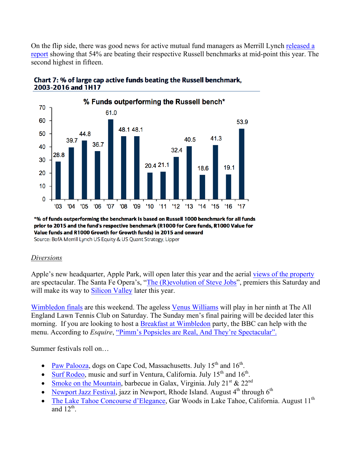On the flip side, there was good news for active mutual fund managers as Merrill Lynch released a report showing that 54% are beating their respective Russell benchmarks at mid-point this year. The second highest in fifteen.





\*% of funds outperforming the benchmark is based on Russell 1000 benchmark for all funds prior to 2015 and the fund's respective benchmark (R1000 for Core funds, R1000 Value for Value funds and R1000 Growth for Growth funds) in 2015 and onward

Source: BofA Merrill Lynch US Equity & US Quant Strategy, Lipper

### *Diversions*

Apple's new headquarter, Apple Park, will open later this year and the aerial views of the property are spectacular. The Santa Fe Opera's, "The (R)evolution of Steve Jobs", premiers this Saturday and will make its way to Silicon Valley later this year.

Wimbledon finals are this weekend. The ageless Venus Williams will play in her ninth at The All England Lawn Tennis Club on Saturday. The Sunday men's final pairing will be decided later this morning. If you are looking to host a Breakfast at Wimbledon party, the BBC can help with the menu. According to *Esquire*, "Pimm's Popsicles are Real, And They're Spectacular".

Summer festivals roll on…

- Paw Palooza, dogs on Cape Cod, Massachusetts. July  $15<sup>th</sup>$  and  $16<sup>th</sup>$ .
- Surf Rodeo, music and surf in Ventura, California. July  $15<sup>th</sup>$  and  $16<sup>th</sup>$ .
- Smoke on the Mountain, barbecue in Galax, Virginia. July  $21^{st} \& 22^{nd}$
- Newport Jazz Festival, jazz in Newport, Rhode Island. August  $4<sup>th</sup>$  through  $6<sup>th</sup>$
- The Lake Tahoe Concourse d'Elegance, Gar Woods in Lake Tahoe, California. August  $11^{th}$ and  $12^{th}$ .